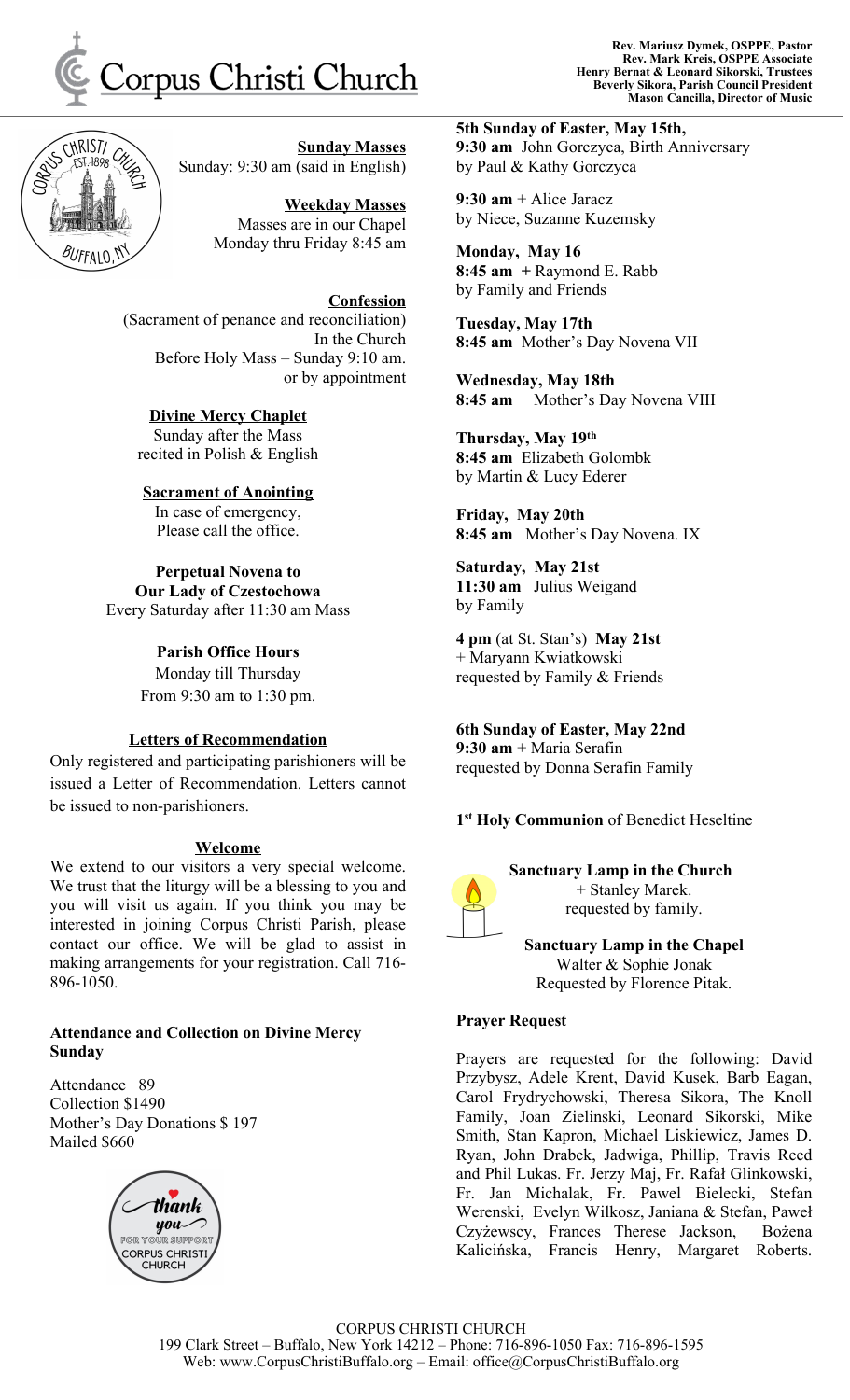



**Sunday Masses** Sunday: 9:30 am (said in English)

> **Weekday Masses** Masses are in our Chapel Monday thru Friday 8:45 am

**Confession** (Sacrament of penance and reconciliation) In the Church Before Holy Mass – Sunday 9:10 am. or by appointment

**Divine Mercy Chaplet** Sunday after the Mass recited in Polish & English

**Sacrament of Anointing** In case of emergency, Please call the office.

**Perpetual Novena to Our Lady of Czestochowa** Every Saturday after 11:30 am Mass

> **Parish Office Hours** Monday till Thursday From 9:30 am to 1:30 pm.

## **Letters of Recommendation**

Only registered and participating parishioners will be issued a Letter of Recommendation. Letters cannot be issued to non-parishioners.

#### **Welcome**

We extend to our visitors a very special welcome. We trust that the liturgy will be a blessing to you and you will visit us again. If you think you may be interested in joining Corpus Christi Parish, please contact our office. We will be glad to assist in making arrangements for your registration. Call 716- 896-1050.

# **Attendance and Collection on Divine Mercy Sunday**

Attendance 89 Collection \$1490 Mother's Day Donations \$ 197 Mailed \$660



**5th Sunday of Easter, May 15th, 9:30 am** John Gorczyca, Birth Anniversary by Paul & Kathy Gorczyca

**9:30 am** + Alice Jaracz by Niece, Suzanne Kuzemsky

**Monday, May 16 8:45 am +** Raymond E. Rabb by Family and Friends

**Tuesday, May 17th 8:45 am** Mother's Day Novena VII

**Wednesday, May 18th 8:45 am** Mother's Day Novena VIII

**Thursday, May 19 th 8:45 am** Elizabeth Golombk by Martin & Lucy Ederer

**Friday, May 20th 8:45 am** Mother's Day Novena. IX

**Saturday, May 21st 11:30 am** Julius Weigand by Family

**4 pm** (at St. Stan's) **May 21st** + Maryann Kwiatkowski requested by Family & Friends

**6th Sunday of Easter, May 22nd 9:30 am** + Maria Serafin requested by Donna Serafin Family

**1 st Holy Communion** of Benedict Heseltine

# **Sanctuary Lamp in the Church**



+ Stanley Marek. requested by family.

**Sanctuary Lamp in the Chapel** Walter & Sophie Jonak Requested by Florence Pitak.

## **Prayer Request**

Prayers are requested for the following: David Przybysz, Adele Krent, David Kusek, Barb Eagan, Carol Frydrychowski, Theresa Sikora, The Knoll Family, Joan Zielinski, Leonard Sikorski, Mike Smith, Stan Kapron, Michael Liskiewicz, James D. Ryan, John Drabek, Jadwiga, Phillip, Travis Reed and Phil Lukas. Fr. Jerzy Maj, Fr. Rafał Glinkowski, Fr. Jan Michalak, Fr. Pawel Bielecki, Stefan Werenski, Evelyn Wilkosz, Janiana & Stefan, Paweł Czyżewscy, Frances Therese Jackson, Bożena Kalicińska, Francis Henry, Margaret Roberts.